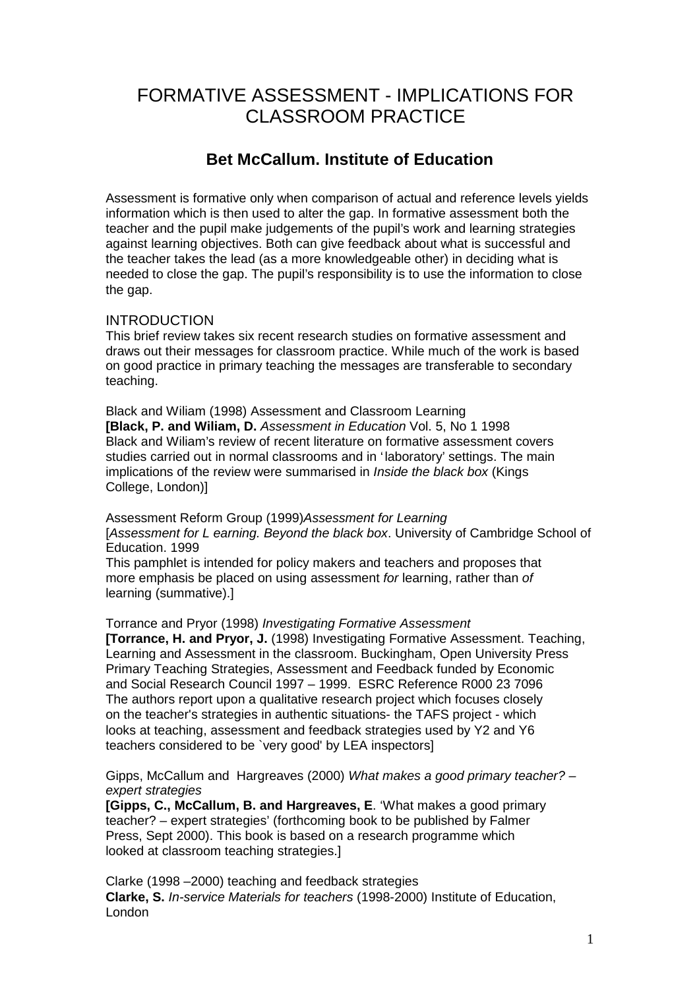# FORMATIVE ASSESSMENT - IMPLICATIONS FOR CLASSROOM PRACTICE

## **Bet McCallum. Institute of Education**

Assessment is formative only when comparison of actual and reference levels yields information which is then used to alter the gap. In formative assessment both the teacher and the pupil make judgements of the pupil's work and learning strategies against learning objectives. Both can give feedback about what is successful and the teacher takes the lead (as a more knowledgeable other) in deciding what is needed to close the gap. The pupil's responsibility is to use the information to close the gap.

## INTRODUCTION

This brief review takes six recent research studies on formative assessment and draws out their messages for classroom practice. While much of the work is based on good practice in primary teaching the messages are transferable to secondary teaching.

Black and Wiliam (1998) Assessment and Classroom Learning **[Black, P. and Wiliam, D.** *Assessment in Education* Vol. 5, No 1 1998 Black and Wiliam's review of recent literature on formative assessment covers studies carried out in normal classrooms and in 'laboratory' settings. The main implications of the review were summarised in *Inside the black box* (Kings College, London)]

Assessment Reform Group (1999)*Assessment for Learning* [*Assessment for L earning. Beyond the black box*. University of Cambridge School of Education. 1999

This pamphlet is intended for policy makers and teachers and proposes that more emphasis be placed on using assessment *for* learning, rather than *of* learning (summative).]

Torrance and Pryor (1998) *Investigating Formative Assessment*

**[Torrance, H. and Pryor, J.** (1998) Investigating Formative Assessment. Teaching, Learning and Assessment in the classroom. Buckingham, Open University Press Primary Teaching Strategies, Assessment and Feedback funded by Economic and Social Research Council 1997 – 1999. ESRC Reference R000 23 7096 The authors report upon a qualitative research project which focuses closely on the teacher's strategies in authentic situations- the TAFS project - which looks at teaching, assessment and feedback strategies used by Y2 and Y6 teachers considered to be `very good' by LEA inspectors]

Gipps, McCallum and Hargreaves (2000) *What makes a good primary teacher? – expert strategies*

**[Gipps, C., McCallum, B. and Hargreaves, E**. 'What makes a good primary teacher? – expert strategies' (forthcoming book to be published by Falmer Press, Sept 2000). This book is based on a research programme which looked at classroom teaching strategies.]

Clarke (1998 –2000) teaching and feedback strategies **Clarke, S.** *In-service Materials for teachers* (1998-2000) Institute of Education, London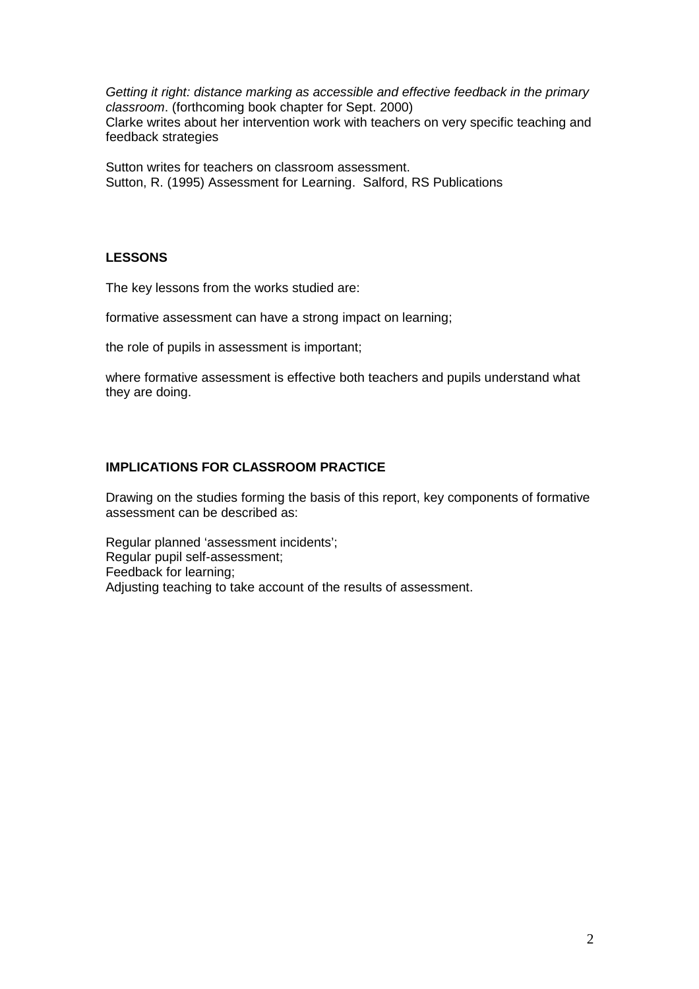*Getting it right: distance marking as accessible and effective feedback in the primary classroom*. (forthcoming book chapter for Sept. 2000) Clarke writes about her intervention work with teachers on very specific teaching and feedback strategies

Sutton writes for teachers on classroom assessment. Sutton, R. (1995) Assessment for Learning. Salford, RS Publications

#### **LESSONS**

The key lessons from the works studied are:

formative assessment can have a strong impact on learning;

the role of pupils in assessment is important;

where formative assessment is effective both teachers and pupils understand what they are doing.

## **IMPLICATIONS FOR CLASSROOM PRACTICE**

Drawing on the studies forming the basis of this report, key components of formative assessment can be described as:

Regular planned 'assessment incidents'; Regular pupil self-assessment; Feedback for learning; Adjusting teaching to take account of the results of assessment.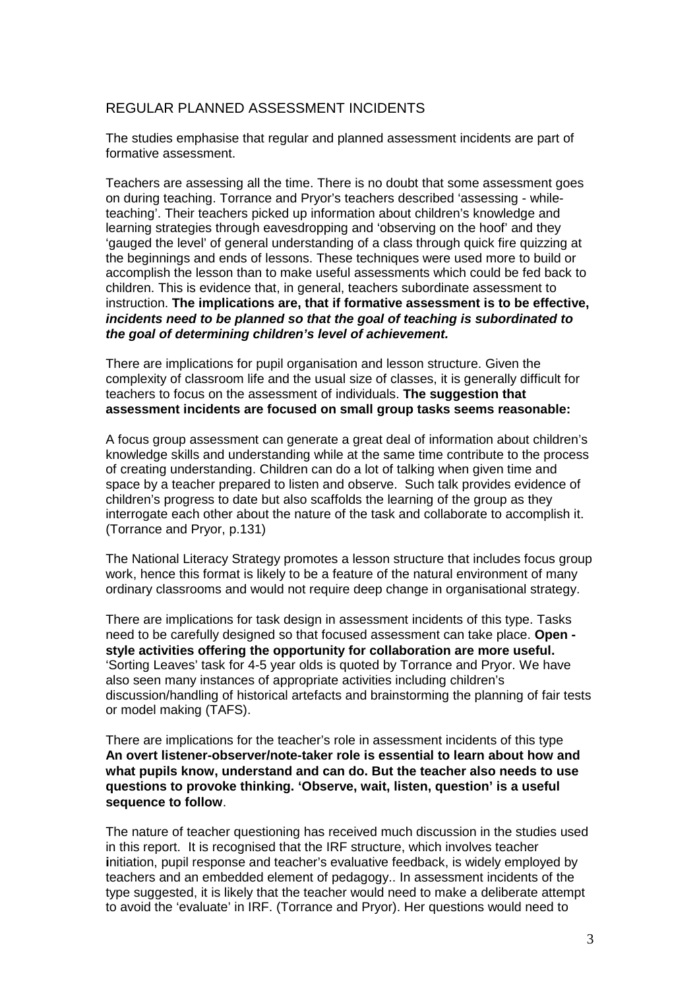## REGULAR PLANNED ASSESSMENT INCIDENTS

The studies emphasise that regular and planned assessment incidents are part of formative assessment.

Teachers are assessing all the time. There is no doubt that some assessment goes on during teaching. Torrance and Pryor's teachers described 'assessing - whileteaching'. Their teachers picked up information about children's knowledge and learning strategies through eavesdropping and 'observing on the hoof' and they 'gauged the level' of general understanding of a class through quick fire quizzing at the beginnings and ends of lessons. These techniques were used more to build or accomplish the lesson than to make useful assessments which could be fed back to children. This is evidence that, in general, teachers subordinate assessment to instruction. **The implications are, that if formative assessment is to be effective,** *incidents need to be planned so that the goal of teaching is subordinated to the goal of determining children's level of achievement.*

There are implications for pupil organisation and lesson structure. Given the complexity of classroom life and the usual size of classes, it is generally difficult for teachers to focus on the assessment of individuals. **The suggestion that assessment incidents are focused on small group tasks seems reasonable:**

A focus group assessment can generate a great deal of information about children's knowledge skills and understanding while at the same time contribute to the process of creating understanding. Children can do a lot of talking when given time and space by a teacher prepared to listen and observe. Such talk provides evidence of children's progress to date but also scaffolds the learning of the group as they interrogate each other about the nature of the task and collaborate to accomplish it. (Torrance and Pryor, p.131)

The National Literacy Strategy promotes a lesson structure that includes focus group work, hence this format is likely to be a feature of the natural environment of many ordinary classrooms and would not require deep change in organisational strategy.

There are implications for task design in assessment incidents of this type. Tasks need to be carefully designed so that focused assessment can take place. **Open style activities offering the opportunity for collaboration are more useful.** 'Sorting Leaves' task for 4-5 year olds is quoted by Torrance and Pryor. We have also seen many instances of appropriate activities including children's discussion/handling of historical artefacts and brainstorming the planning of fair tests or model making (TAFS).

There are implications for the teacher's role in assessment incidents of this type **An overt listener-observer/note-taker role is essential to learn about how and what pupils know, understand and can do. But the teacher also needs to use questions to provoke thinking. 'Observe, wait, listen, question' is a useful sequence to follow**.

The nature of teacher questioning has received much discussion in the studies used in this report. It is recognised that the IRF structure, which involves teacher **i**nitiation, pupil response and teacher's evaluative feedback, is widely employed by teachers and an embedded element of pedagogy.. In assessment incidents of the type suggested, it is likely that the teacher would need to make a deliberate attempt to avoid the 'evaluate' in IRF. (Torrance and Pryor). Her questions would need to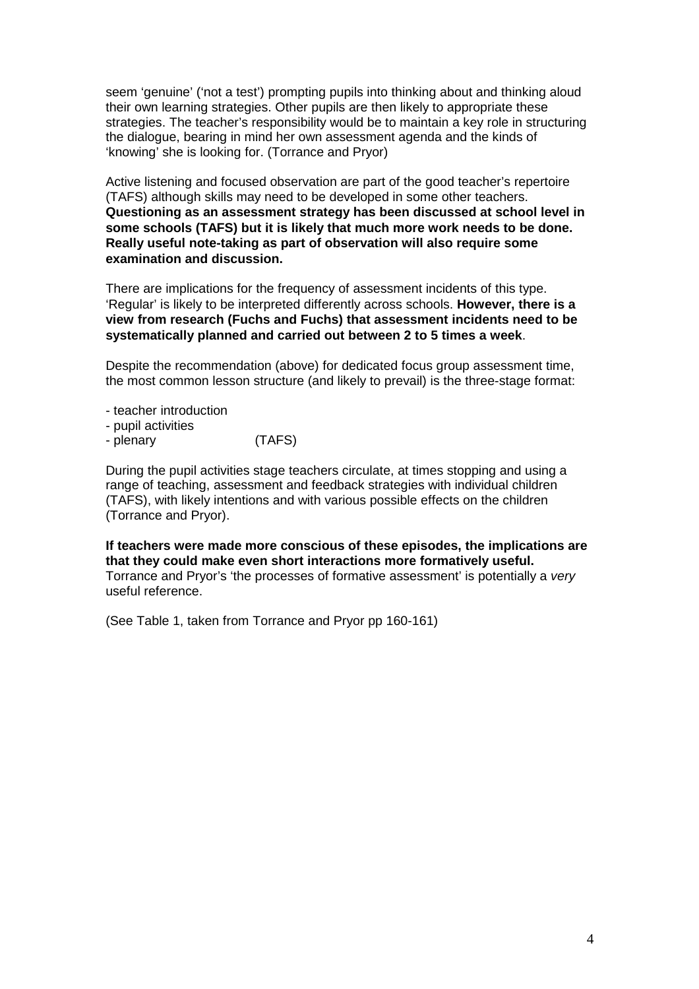seem 'genuine' ('not a test') prompting pupils into thinking about and thinking aloud their own learning strategies. Other pupils are then likely to appropriate these strategies. The teacher's responsibility would be to maintain a key role in structuring the dialogue, bearing in mind her own assessment agenda and the kinds of 'knowing' she is looking for. (Torrance and Pryor)

Active listening and focused observation are part of the good teacher's repertoire (TAFS) although skills may need to be developed in some other teachers. **Questioning as an assessment strategy has been discussed at school level in some schools (TAFS) but it is likely that much more work needs to be done. Really useful note-taking as part of observation will also require some examination and discussion.**

There are implications for the frequency of assessment incidents of this type. 'Regular' is likely to be interpreted differently across schools. **However, there is a view from research (Fuchs and Fuchs) that assessment incidents need to be systematically planned and carried out between 2 to 5 times a week**.

Despite the recommendation (above) for dedicated focus group assessment time, the most common lesson structure (and likely to prevail) is the three-stage format:

- teacher introduction
- pupil activities
- plenary (TAFS)

During the pupil activities stage teachers circulate, at times stopping and using a range of teaching, assessment and feedback strategies with individual children (TAFS), with likely intentions and with various possible effects on the children (Torrance and Pryor).

**If teachers were made more conscious of these episodes, the implications are that they could make even short interactions more formatively useful.** Torrance and Pryor's 'the processes of formative assessment' is potentially a *very* useful reference.

(See Table 1, taken from Torrance and Pryor pp 160-161)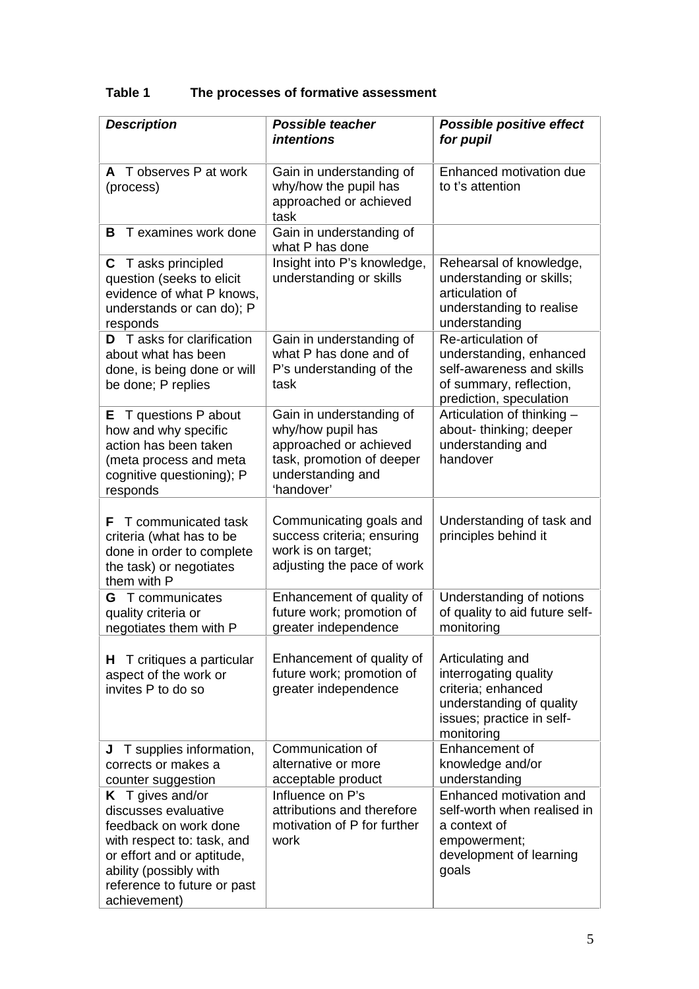## **Table 1 The processes of formative assessment**

| <b>Description</b>                                                                                                                                                                                     | <b>Possible teacher</b><br><i>intentions</i>                                                                                            | <b>Possible positive effect</b><br>for pupil                                                                                           |
|--------------------------------------------------------------------------------------------------------------------------------------------------------------------------------------------------------|-----------------------------------------------------------------------------------------------------------------------------------------|----------------------------------------------------------------------------------------------------------------------------------------|
| A T observes P at work<br>(process)                                                                                                                                                                    | Gain in understanding of<br>why/how the pupil has<br>approached or achieved<br>task                                                     | Enhanced motivation due<br>to t's attention                                                                                            |
| T examines work done<br>В                                                                                                                                                                              | Gain in understanding of<br>what P has done                                                                                             |                                                                                                                                        |
| T asks principled<br>C.<br>question (seeks to elicit<br>evidence of what P knows,<br>understands or can do); P<br>responds                                                                             | Insight into P's knowledge,<br>understanding or skills                                                                                  | Rehearsal of knowledge,<br>understanding or skills;<br>articulation of<br>understanding to realise<br>understanding                    |
| T asks for clarification<br>D<br>about what has been<br>done, is being done or will<br>be done; P replies                                                                                              | Gain in understanding of<br>what P has done and of<br>P's understanding of the<br>task                                                  | Re-articulation of<br>understanding, enhanced<br>self-awareness and skills<br>of summary, reflection,<br>prediction, speculation       |
| $E$ T questions P about<br>how and why specific<br>action has been taken<br>(meta process and meta<br>cognitive questioning); P<br>responds                                                            | Gain in understanding of<br>why/how pupil has<br>approached or achieved<br>task, promotion of deeper<br>understanding and<br>'handover' | Articulation of thinking -<br>about-thinking; deeper<br>understanding and<br>handover                                                  |
| T communicated task<br>F<br>criteria (what has to be<br>done in order to complete<br>the task) or negotiates<br>them with P                                                                            | Communicating goals and<br>success criteria; ensuring<br>work is on target;<br>adjusting the pace of work                               | Understanding of task and<br>principles behind it                                                                                      |
| <b>G</b> T communicates<br>quality criteria or<br>negotiates them with P                                                                                                                               | Enhancement of quality of<br>future work; promotion of<br>greater independence                                                          | Understanding of notions<br>of quality to aid future self-<br>monitoring                                                               |
| <b>H</b> T critiques a particular<br>aspect of the work or<br>invites P to do so                                                                                                                       | Enhancement of quality of<br>future work; promotion of<br>greater independence                                                          | Articulating and<br>interrogating quality<br>criteria; enhanced<br>understanding of quality<br>issues; practice in self-<br>monitoring |
| J T supplies information,<br>corrects or makes a<br>counter suggestion                                                                                                                                 | Communication of<br>alternative or more<br>acceptable product                                                                           | Enhancement of<br>knowledge and/or<br>understanding                                                                                    |
| K T gives and/or<br>discusses evaluative<br>feedback on work done<br>with respect to: task, and<br>or effort and or aptitude,<br>ability (possibly with<br>reference to future or past<br>achievement) | Influence on P's<br>attributions and therefore<br>motivation of P for further<br>work                                                   | Enhanced motivation and<br>self-worth when realised in<br>a context of<br>empowerment;<br>development of learning<br>goals             |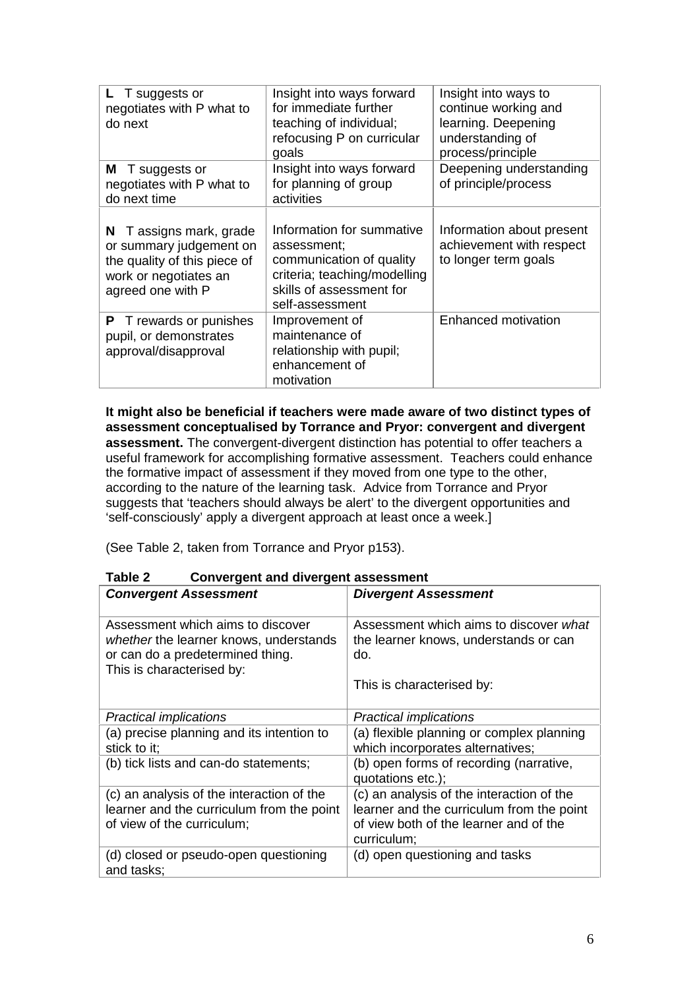| L T suggests or<br>negotiates with P what to<br>do next                                                                             | Insight into ways forward<br>for immediate further<br>teaching of individual;<br>refocusing P on curricular<br>goals                                | Insight into ways to<br>continue working and<br>learning. Deepening<br>understanding of<br>process/principle |
|-------------------------------------------------------------------------------------------------------------------------------------|-----------------------------------------------------------------------------------------------------------------------------------------------------|--------------------------------------------------------------------------------------------------------------|
| <b>M</b> T suggests or<br>negotiates with P what to<br>do next time                                                                 | Insight into ways forward<br>for planning of group<br>activities                                                                                    | Deepening understanding<br>of principle/process                                                              |
| T assigns mark, grade<br>N<br>or summary judgement on<br>the quality of this piece of<br>work or negotiates an<br>agreed one with P | Information for summative<br>assessment:<br>communication of quality<br>criteria; teaching/modelling<br>skills of assessment for<br>self-assessment | Information about present<br>achievement with respect<br>to longer term goals                                |
| T rewards or punishes<br>P<br>pupil, or demonstrates<br>approval/disapproval                                                        | Improvement of<br>maintenance of<br>relationship with pupil;<br>enhancement of<br>motivation                                                        | <b>Enhanced motivation</b>                                                                                   |

**It might also be beneficial if teachers were made aware of two distinct types of assessment conceptualised by Torrance and Pryor: convergent and divergent assessment.** The convergent-divergent distinction has potential to offer teachers a useful framework for accomplishing formative assessment. Teachers could enhance the formative impact of assessment if they moved from one type to the other, according to the nature of the learning task. Advice from Torrance and Pryor suggests that 'teachers should always be alert' to the divergent opportunities and 'self-consciously' apply a divergent approach at least once a week.]

(See Table 2, taken from Torrance and Pryor p153).

| <b>Convergent Assessment</b>                                                                                                                 | <b>Divergent Assessment</b>                                                                                                                     |
|----------------------------------------------------------------------------------------------------------------------------------------------|-------------------------------------------------------------------------------------------------------------------------------------------------|
| Assessment which aims to discover<br>whether the learner knows, understands<br>or can do a predetermined thing.<br>This is characterised by: | Assessment which aims to discover what<br>the learner knows, understands or can<br>do.                                                          |
|                                                                                                                                              | This is characterised by:                                                                                                                       |
| <b>Practical implications</b>                                                                                                                | <b>Practical implications</b>                                                                                                                   |
| (a) precise planning and its intention to<br>stick to it;                                                                                    | (a) flexible planning or complex planning<br>which incorporates alternatives;                                                                   |
| (b) tick lists and can-do statements;                                                                                                        | (b) open forms of recording (narrative,<br>quotations etc.);                                                                                    |
| (c) an analysis of the interaction of the<br>learner and the curriculum from the point<br>of view of the curriculum;                         | (c) an analysis of the interaction of the<br>learner and the curriculum from the point<br>of view both of the learner and of the<br>curriculum; |
| (d) closed or pseudo-open questioning<br>and tasks;                                                                                          | (d) open questioning and tasks                                                                                                                  |

**Table 2 Convergent and divergent assessment**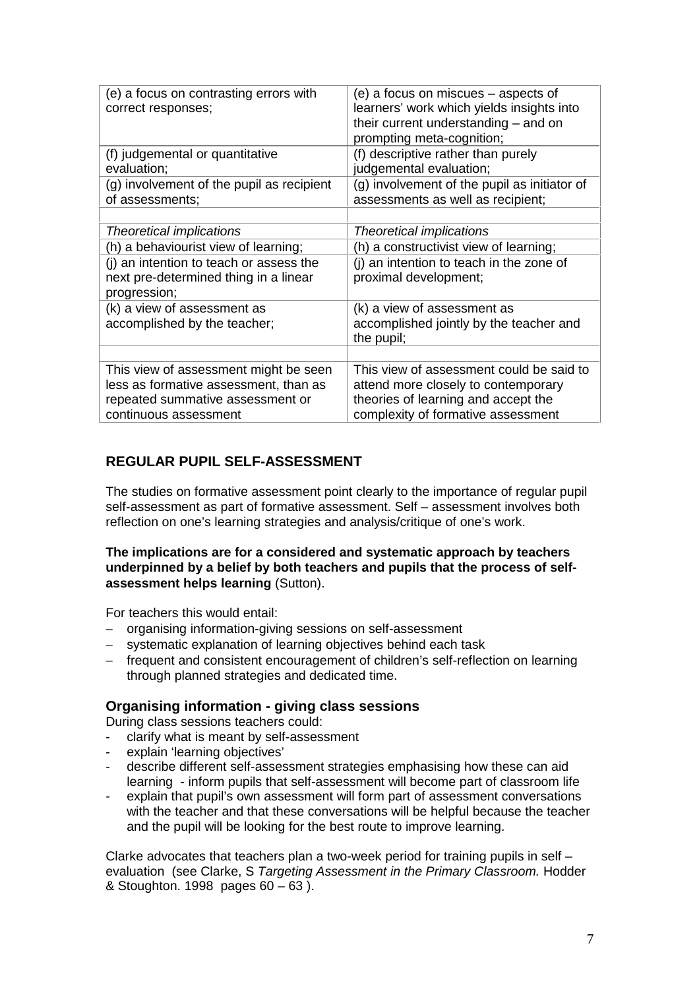| (e) a focus on contrasting errors with<br>correct responses;                                                                                | (e) a focus on miscues – aspects of<br>learners' work which yields insights into<br>their current understanding - and on<br>prompting meta-cognition;        |
|---------------------------------------------------------------------------------------------------------------------------------------------|--------------------------------------------------------------------------------------------------------------------------------------------------------------|
| (f) judgemental or quantitative<br>evaluation;                                                                                              | (f) descriptive rather than purely<br>judgemental evaluation;                                                                                                |
| (g) involvement of the pupil as recipient<br>of assessments;                                                                                | (g) involvement of the pupil as initiator of<br>assessments as well as recipient;                                                                            |
|                                                                                                                                             |                                                                                                                                                              |
| <b>Theoretical implications</b>                                                                                                             | Theoretical implications                                                                                                                                     |
| (h) a behaviourist view of learning;                                                                                                        | (h) a constructivist view of learning;                                                                                                                       |
| (i) an intention to teach or assess the<br>next pre-determined thing in a linear<br>progression;                                            | (i) an intention to teach in the zone of<br>proximal development;                                                                                            |
| (k) a view of assessment as<br>accomplished by the teacher;                                                                                 | (k) a view of assessment as<br>accomplished jointly by the teacher and<br>the pupil;                                                                         |
|                                                                                                                                             |                                                                                                                                                              |
| This view of assessment might be seen<br>less as formative assessment, than as<br>repeated summative assessment or<br>continuous assessment | This view of assessment could be said to<br>attend more closely to contemporary<br>theories of learning and accept the<br>complexity of formative assessment |

## **REGULAR PUPIL SELF-ASSESSMENT**

The studies on formative assessment point clearly to the importance of regular pupil self-assessment as part of formative assessment. Self – assessment involves both reflection on one's learning strategies and analysis/critique of one's work.

**The implications are for a considered and systematic approach by teachers underpinned by a belief by both teachers and pupils that the process of selfassessment helps learning** (Sutton).

For teachers this would entail:

- − organising information-giving sessions on self-assessment
- − systematic explanation of learning objectives behind each task
- − frequent and consistent encouragement of children's self-reflection on learning through planned strategies and dedicated time.

#### **Organising information - giving class sessions**

During class sessions teachers could:

- clarify what is meant by self-assessment
- explain 'learning objectives'
- describe different self-assessment strategies emphasising how these can aid learning - inform pupils that self-assessment will become part of classroom life
- explain that pupil's own assessment will form part of assessment conversations with the teacher and that these conversations will be helpful because the teacher and the pupil will be looking for the best route to improve learning.

Clarke advocates that teachers plan a two-week period for training pupils in self  $$ evaluation (see Clarke, S *Targeting Assessment in the Primary Classroom.* Hodder & Stoughton. 1998 pages 60 – 63 ).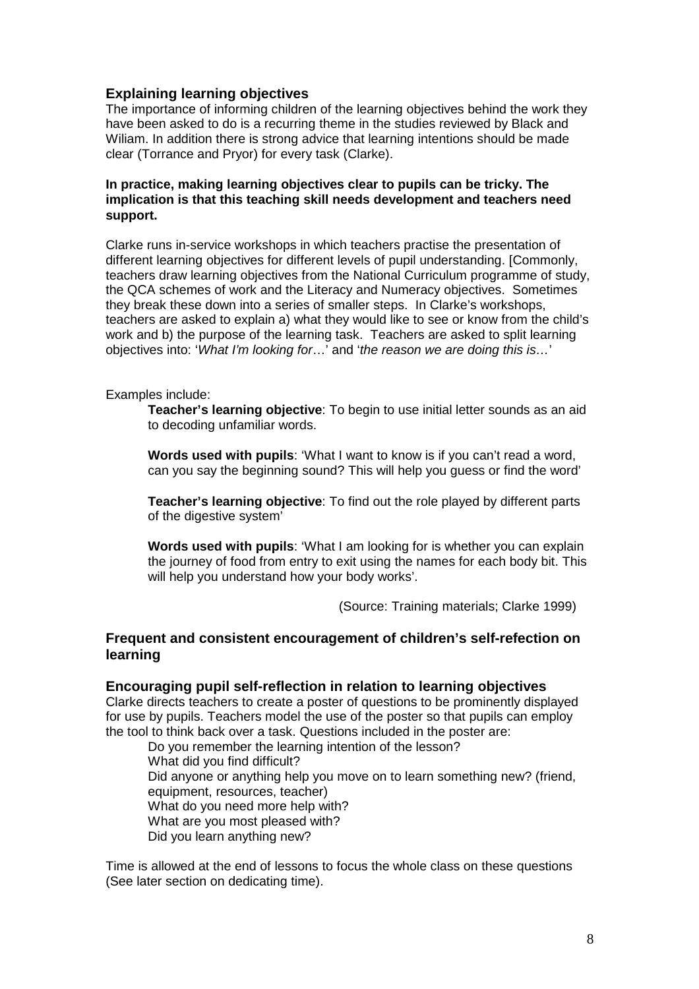### **Explaining learning objectives**

The importance of informing children of the learning objectives behind the work they have been asked to do is a recurring theme in the studies reviewed by Black and Wiliam. In addition there is strong advice that learning intentions should be made clear (Torrance and Pryor) for every task (Clarke).

#### **In practice, making learning objectives clear to pupils can be tricky. The implication is that this teaching skill needs development and teachers need support.**

Clarke runs in-service workshops in which teachers practise the presentation of different learning objectives for different levels of pupil understanding. [Commonly, teachers draw learning objectives from the National Curriculum programme of study, the QCA schemes of work and the Literacy and Numeracy objectives. Sometimes they break these down into a series of smaller steps. In Clarke's workshops, teachers are asked to explain a) what they would like to see or know from the child's work and b) the purpose of the learning task. Teachers are asked to split learning objectives into: '*What I'm looking for*…' and '*the reason we are doing this is…*'

Examples include:

**Teacher's learning objective**: To begin to use initial letter sounds as an aid to decoding unfamiliar words.

**Words used with pupils**: 'What I want to know is if you can't read a word, can you say the beginning sound? This will help you guess or find the word'

**Teacher's learning objective**: To find out the role played by different parts of the digestive system'

**Words used with pupils**: 'What I am looking for is whether you can explain the journey of food from entry to exit using the names for each body bit. This will help you understand how your body works'.

(Source: Training materials; Clarke 1999)

#### **Frequent and consistent encouragement of children's self-refection on learning**

#### **Encouraging pupil self-reflection in relation to learning objectives**

Clarke directs teachers to create a poster of questions to be prominently displayed for use by pupils. Teachers model the use of the poster so that pupils can employ the tool to think back over a task. Questions included in the poster are:

Do you remember the learning intention of the lesson? What did you find difficult? Did anyone or anything help you move on to learn something new? (friend, equipment, resources, teacher) What do you need more help with? What are you most pleased with? Did you learn anything new?

Time is allowed at the end of lessons to focus the whole class on these questions (See later section on dedicating time).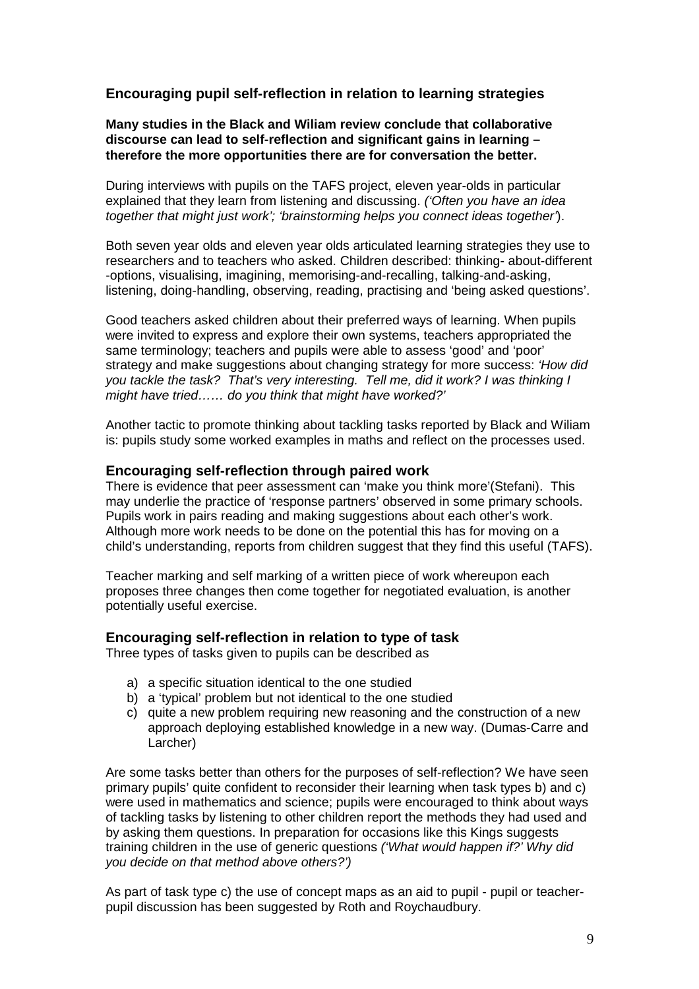## **Encouraging pupil self-reflection in relation to learning strategies**

**Many studies in the Black and Wiliam review conclude that collaborative discourse can lead to self-reflection and significant gains in learning – therefore the more opportunities there are for conversation the better.**

During interviews with pupils on the TAFS project, eleven year-olds in particular explained that they learn from listening and discussing. *('Often you have an idea together that might just work'; 'brainstorming helps you connect ideas together'*).

Both seven year olds and eleven year olds articulated learning strategies they use to researchers and to teachers who asked. Children described: thinking- about-different -options, visualising, imagining, memorising-and-recalling, talking-and-asking, listening, doing-handling, observing, reading, practising and 'being asked questions'.

Good teachers asked children about their preferred ways of learning. When pupils were invited to express and explore their own systems, teachers appropriated the same terminology; teachers and pupils were able to assess 'good' and 'poor' strategy and make suggestions about changing strategy for more success: *'How did you tackle the task? That's very interesting. Tell me, did it work? I was thinking I might have tried…… do you think that might have worked?'*

Another tactic to promote thinking about tackling tasks reported by Black and Wiliam is: pupils study some worked examples in maths and reflect on the processes used.

#### **Encouraging self-reflection through paired work**

There is evidence that peer assessment can 'make you think more'(Stefani). This may underlie the practice of 'response partners' observed in some primary schools. Pupils work in pairs reading and making suggestions about each other's work. Although more work needs to be done on the potential this has for moving on a child's understanding, reports from children suggest that they find this useful (TAFS).

Teacher marking and self marking of a written piece of work whereupon each proposes three changes then come together for negotiated evaluation, is another potentially useful exercise.

#### **Encouraging self-reflection in relation to type of task**

Three types of tasks given to pupils can be described as

- a) a specific situation identical to the one studied
- b) a 'typical' problem but not identical to the one studied
- c) quite a new problem requiring new reasoning and the construction of a new approach deploying established knowledge in a new way. (Dumas-Carre and Larcher)

Are some tasks better than others for the purposes of self-reflection? We have seen primary pupils' quite confident to reconsider their learning when task types b) and c) were used in mathematics and science; pupils were encouraged to think about ways of tackling tasks by listening to other children report the methods they had used and by asking them questions. In preparation for occasions like this Kings suggests training children in the use of generic questions *('What would happen if?' Why did you decide on that method above others?')*

As part of task type c) the use of concept maps as an aid to pupil - pupil or teacherpupil discussion has been suggested by Roth and Roychaudbury.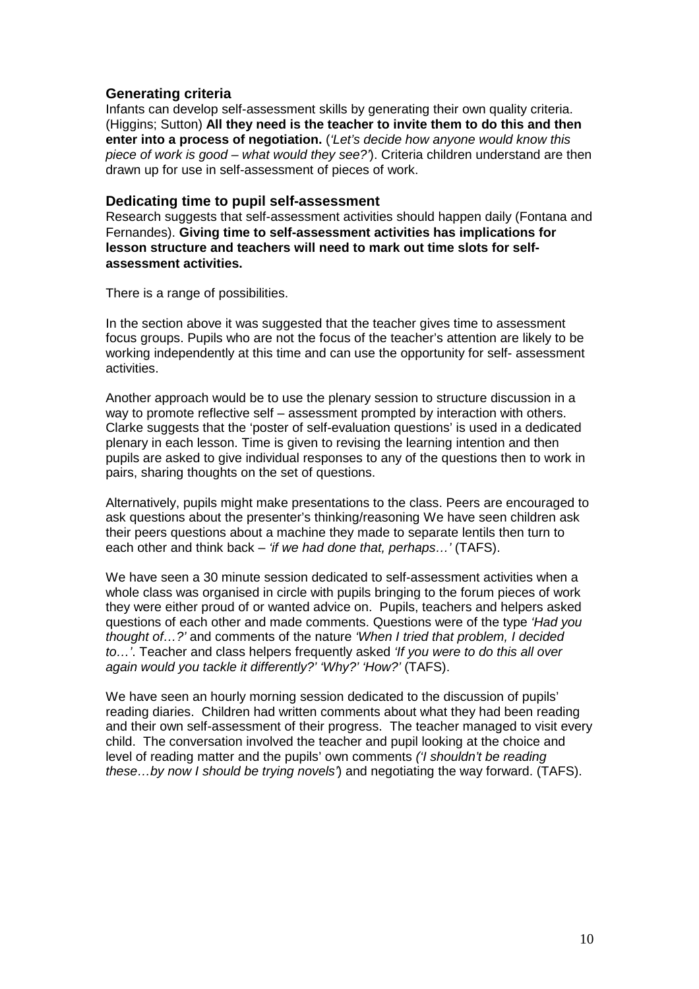#### **Generating criteria**

Infants can develop self-assessment skills by generating their own quality criteria. (Higgins; Sutton) **All they need is the teacher to invite them to do this and then enter into a process of negotiation.** (*'Let's decide how anyone would know this piece of work is good – what would they see?'*). Criteria children understand are then drawn up for use in self-assessment of pieces of work.

#### **Dedicating time to pupil self-assessment**

Research suggests that self-assessment activities should happen daily (Fontana and Fernandes). **Giving time to self-assessment activities has implications for lesson structure and teachers will need to mark out time slots for selfassessment activities.**

There is a range of possibilities.

In the section above it was suggested that the teacher gives time to assessment focus groups. Pupils who are not the focus of the teacher's attention are likely to be working independently at this time and can use the opportunity for self- assessment activities.

Another approach would be to use the plenary session to structure discussion in a way to promote reflective self – assessment prompted by interaction with others. Clarke suggests that the 'poster of self-evaluation questions' is used in a dedicated plenary in each lesson. Time is given to revising the learning intention and then pupils are asked to give individual responses to any of the questions then to work in pairs, sharing thoughts on the set of questions.

Alternatively, pupils might make presentations to the class. Peers are encouraged to ask questions about the presenter's thinking/reasoning We have seen children ask their peers questions about a machine they made to separate lentils then turn to each other and think back – *'if we had done that, perhaps…'* (TAFS).

We have seen a 30 minute session dedicated to self-assessment activities when a whole class was organised in circle with pupils bringing to the forum pieces of work they were either proud of or wanted advice on. Pupils, teachers and helpers asked questions of each other and made comments. Questions were of the type *'Had you thought of…?'* and comments of the nature *'When I tried that problem, I decided to…'*. Teacher and class helpers frequently asked *'If you were to do this all over again would you tackle it differently?' 'Why?' 'How?'* (TAFS).

We have seen an hourly morning session dedicated to the discussion of pupils' reading diaries. Children had written comments about what they had been reading and their own self-assessment of their progress. The teacher managed to visit every child. The conversation involved the teacher and pupil looking at the choice and level of reading matter and the pupils' own comments *('I shouldn't be reading these…by now I should be trying novels'*) and negotiating the way forward. (TAFS).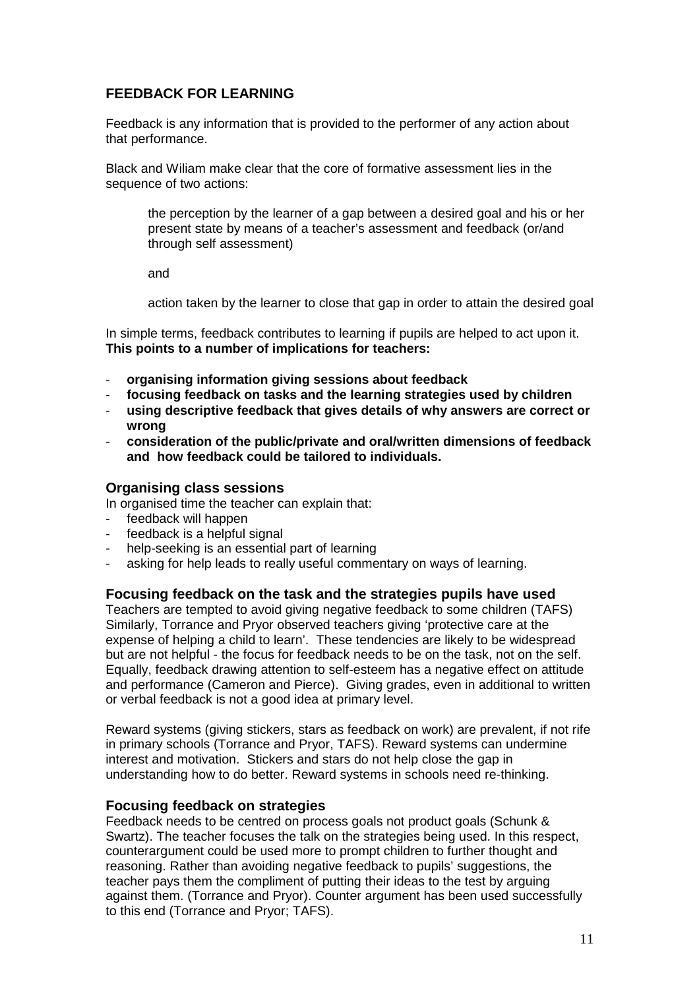## **FEEDBACK FOR LEARNING**

Feedback is any information that is provided to the performer of any action about that performance.

Black and Wiliam make clear that the core of formative assessment lies in the sequence of two actions:

the perception by the learner of a gap between a desired goal and his or her present state by means of a teacher's assessment and feedback (or/and through self assessment)

and

action taken by the learner to close that gap in order to attain the desired goal

In simple terms, feedback contributes to learning if pupils are helped to act upon it. **This points to a number of implications for teachers:**

- **organising information giving sessions about feedback**
- **focusing feedback on tasks and the learning strategies used by children**
- **using descriptive feedback that gives details of why answers are correct or wrong**
- **consideration of the public/private and oral/written dimensions of feedback and how feedback could be tailored to individuals.**

#### **Organising class sessions**

In organised time the teacher can explain that:

- feedback will happen
- feedback is a helpful signal
- help-seeking is an essential part of learning
- asking for help leads to really useful commentary on ways of learning.

#### **Focusing feedback on the task and the strategies pupils have used**

Teachers are tempted to avoid giving negative feedback to some children (TAFS) Similarly, Torrance and Pryor observed teachers giving 'protective care at the expense of helping a child to learn'. These tendencies are likely to be widespread but are not helpful - the focus for feedback needs to be on the task, not on the self. Equally, feedback drawing attention to self-esteem has a negative effect on attitude and performance (Cameron and Pierce). Giving grades, even in additional to written or verbal feedback is not a good idea at primary level.

Reward systems (giving stickers, stars as feedback on work) are prevalent, if not rife in primary schools (Torrance and Pryor, TAFS). Reward systems can undermine interest and motivation. Stickers and stars do not help close the gap in understanding how to do better. Reward systems in schools need re-thinking.

#### **Focusing feedback on strategies**

Feedback needs to be centred on process goals not product goals (Schunk & Swartz). The teacher focuses the talk on the strategies being used. In this respect, counterargument could be used more to prompt children to further thought and reasoning. Rather than avoiding negative feedback to pupils' suggestions, the teacher pays them the compliment of putting their ideas to the test by arguing against them. (Torrance and Pryor). Counter argument has been used successfully to this end (Torrance and Pryor; TAFS).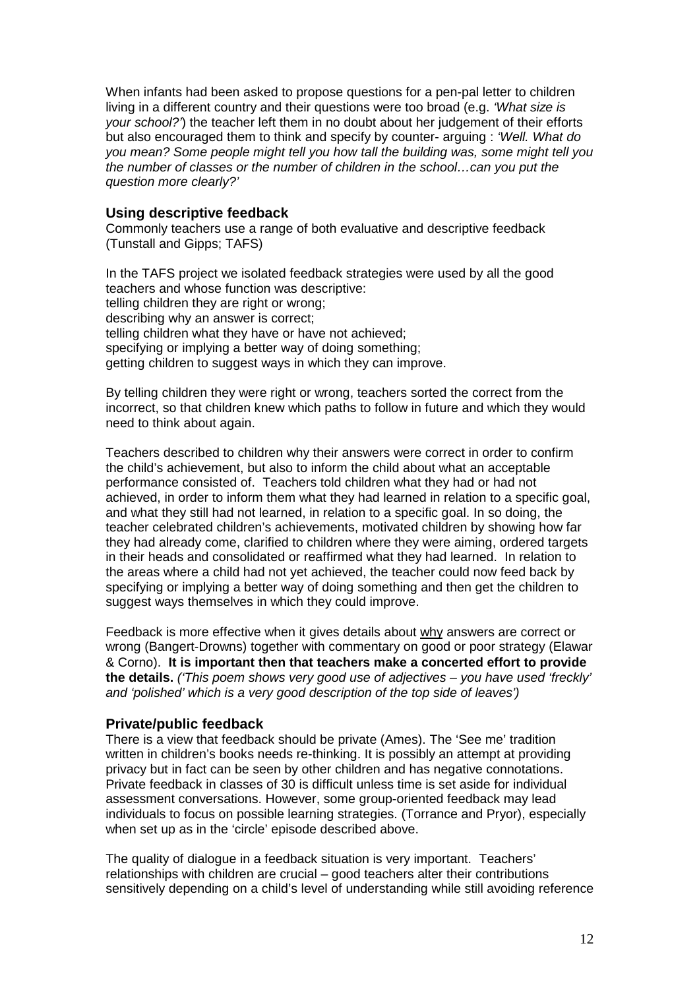When infants had been asked to propose questions for a pen-pal letter to children living in a different country and their questions were too broad (e.g. *'What size is your school?'*) the teacher left them in no doubt about her judgement of their efforts but also encouraged them to think and specify by counter- arguing : *'Well. What do you mean? Some people might tell you how tall the building was, some might tell you the number of classes or the number of children in the school…can you put the question more clearly?'*

### **Using descriptive feedback**

Commonly teachers use a range of both evaluative and descriptive feedback (Tunstall and Gipps; TAFS)

In the TAFS project we isolated feedback strategies were used by all the good teachers and whose function was descriptive: telling children they are right or wrong; describing why an answer is correct; telling children what they have or have not achieved; specifying or implying a better way of doing something; getting children to suggest ways in which they can improve.

By telling children they were right or wrong, teachers sorted the correct from the incorrect, so that children knew which paths to follow in future and which they would need to think about again.

Teachers described to children why their answers were correct in order to confirm the child's achievement, but also to inform the child about what an acceptable performance consisted of. Teachers told children what they had or had not achieved, in order to inform them what they had learned in relation to a specific goal, and what they still had not learned, in relation to a specific goal. In so doing, the teacher celebrated children's achievements, motivated children by showing how far they had already come, clarified to children where they were aiming, ordered targets in their heads and consolidated or reaffirmed what they had learned. In relation to the areas where a child had not yet achieved, the teacher could now feed back by specifying or implying a better way of doing something and then get the children to suggest ways themselves in which they could improve.

Feedback is more effective when it gives details about why answers are correct or wrong (Bangert-Drowns) together with commentary on good or poor strategy (Elawar & Corno). **It is important then that teachers make a concerted effort to provide the details.** *('This poem shows very good use of adjectives – you have used 'freckly' and 'polished' which is a very good description of the top side of leaves')*

## **Private/public feedback**

There is a view that feedback should be private (Ames). The 'See me' tradition written in children's books needs re-thinking. It is possibly an attempt at providing privacy but in fact can be seen by other children and has negative connotations. Private feedback in classes of 30 is difficult unless time is set aside for individual assessment conversations. However, some group-oriented feedback may lead individuals to focus on possible learning strategies. (Torrance and Pryor), especially when set up as in the 'circle' episode described above.

The quality of dialogue in a feedback situation is very important. Teachers' relationships with children are crucial – good teachers alter their contributions sensitively depending on a child's level of understanding while still avoiding reference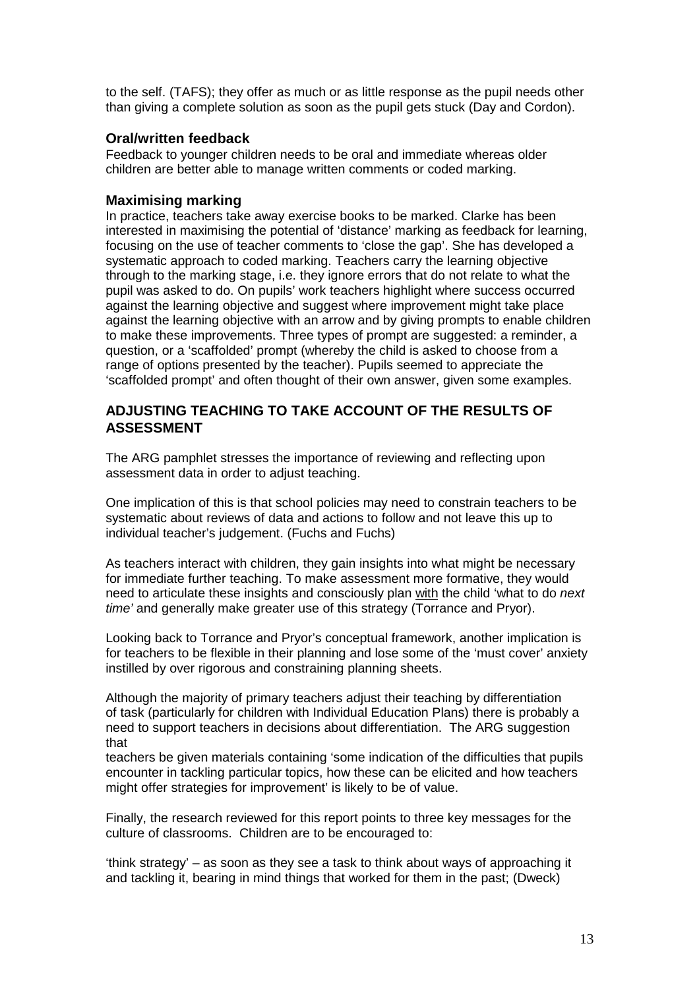to the self. (TAFS); they offer as much or as little response as the pupil needs other than giving a complete solution as soon as the pupil gets stuck (Day and Cordon).

#### **Oral/written feedback**

Feedback to younger children needs to be oral and immediate whereas older children are better able to manage written comments or coded marking.

#### **Maximising marking**

In practice, teachers take away exercise books to be marked. Clarke has been interested in maximising the potential of 'distance' marking as feedback for learning, focusing on the use of teacher comments to 'close the gap'. She has developed a systematic approach to coded marking. Teachers carry the learning objective through to the marking stage, i.e. they ignore errors that do not relate to what the pupil was asked to do. On pupils' work teachers highlight where success occurred against the learning objective and suggest where improvement might take place against the learning objective with an arrow and by giving prompts to enable children to make these improvements. Three types of prompt are suggested: a reminder, a question, or a 'scaffolded' prompt (whereby the child is asked to choose from a range of options presented by the teacher). Pupils seemed to appreciate the 'scaffolded prompt' and often thought of their own answer, given some examples.

## **ADJUSTING TEACHING TO TAKE ACCOUNT OF THE RESULTS OF ASSESSMENT**

The ARG pamphlet stresses the importance of reviewing and reflecting upon assessment data in order to adjust teaching.

One implication of this is that school policies may need to constrain teachers to be systematic about reviews of data and actions to follow and not leave this up to individual teacher's judgement. (Fuchs and Fuchs)

As teachers interact with children, they gain insights into what might be necessary for immediate further teaching. To make assessment more formative, they would need to articulate these insights and consciously plan with the child 'what to do *next time'* and generally make greater use of this strategy (Torrance and Pryor).

Looking back to Torrance and Pryor's conceptual framework, another implication is for teachers to be flexible in their planning and lose some of the 'must cover' anxiety instilled by over rigorous and constraining planning sheets.

Although the majority of primary teachers adjust their teaching by differentiation of task (particularly for children with Individual Education Plans) there is probably a need to support teachers in decisions about differentiation. The ARG suggestion that

teachers be given materials containing 'some indication of the difficulties that pupils encounter in tackling particular topics, how these can be elicited and how teachers might offer strategies for improvement' is likely to be of value.

Finally, the research reviewed for this report points to three key messages for the culture of classrooms. Children are to be encouraged to:

'think strategy' – as soon as they see a task to think about ways of approaching it and tackling it, bearing in mind things that worked for them in the past; (Dweck)